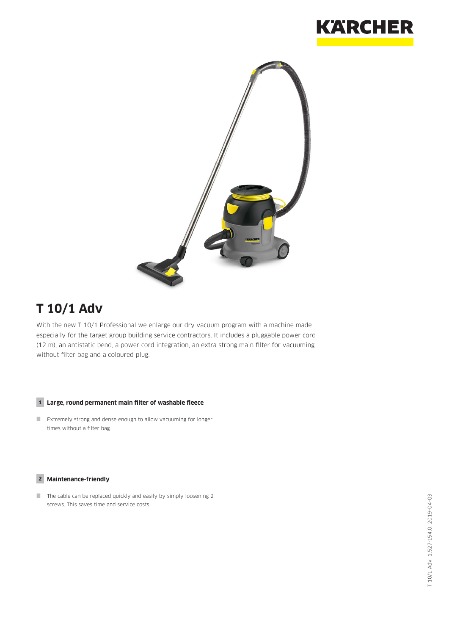



# **T 10/1 Adv**

With the new T 10/1 Professional we enlarge our dry vacuum program with a machine made especially for the target group building service contractors. It includes a pluggable power cord (12 m), an antistatic bend, a power cord integration, an extra strong main filter for vacuuming without filter bag and a coloured plug.

#### **1 Large, round permanent main filter of washable fleece**

 Extremely strong and dense enough to allow vacuuming for longer times without a filter bag.

#### **2 Maintenance-friendly**

 $\Box$  The cable can be replaced quickly and easily by simply loosening 2 screws. This saves time and service costs.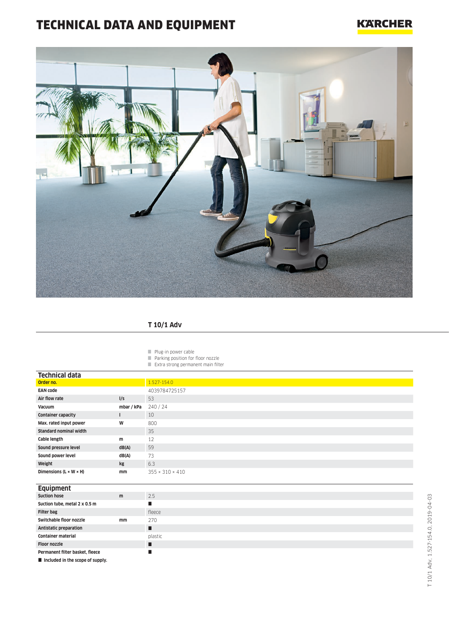# TECHNICAL DATA AND EQUIPMENT

## **KARCHER**



### **T 10/1 Adv**

Plug-in power cable

- **Parking position for floor nozzle**
- Extra strong permanent main filter

| Technical data                       |            |                             |
|--------------------------------------|------------|-----------------------------|
| Order no.                            |            | 1.527-154.0                 |
| <b>EAN code</b>                      |            | 4039784725157               |
| Air flow rate                        | I/s        | 53                          |
| Vacuum                               | mbar / kPa | 240/24                      |
| <b>Container capacity</b>            |            | 10                          |
| Max. rated input power               | W          | 800                         |
| <b>Standard nominal width</b>        |            | 35                          |
| Cable length                         | m          | 12                          |
| Sound pressure level                 | dB(A)      | 59                          |
| Sound power level                    | dB(A)      | 73                          |
| Weight                               | kg         | 6.3                         |
| Dimensions ( $L \times W \times H$ ) | mm         | $355 \times 310 \times 410$ |
|                                      |            |                             |
| <b>Equipment</b>                     |            |                             |
| <b>Suction hose</b>                  | m          | 2.5                         |
| Suction tube, metal 2 x 0.5 m        |            | п                           |
| <b>Filter bag</b>                    |            | fleece                      |
| Switchable floor nozzle              | mm         | 270                         |
| <b>Antistatic preparation</b>        |            | п                           |
| <b>Container material</b>            |            | plastic                     |
|                                      |            |                             |

**Floor nozzle Permanent filter basket, fleece**

 $\blacksquare$  Included in the scope of supply.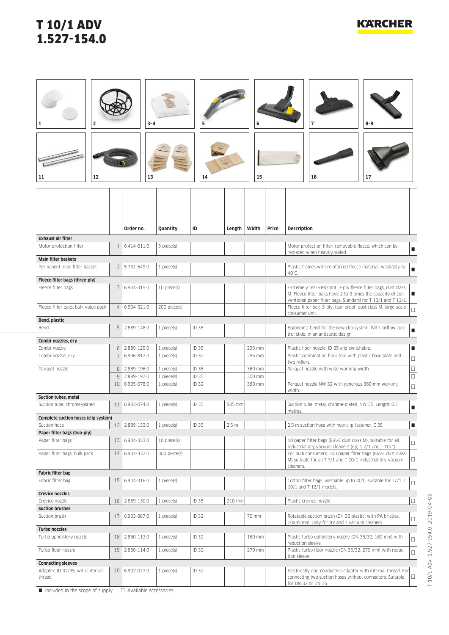## T 10/1 ADV 1.527-154.0

| 2<br>12<br>11                                       |                 | $3 - 4$<br>13                |                          | 5<br>14               |                  | 6<br>15          |       | $8 - 9$<br>7<br>16<br>17                                                                                                                                                                            |                  |
|-----------------------------------------------------|-----------------|------------------------------|--------------------------|-----------------------|------------------|------------------|-------|-----------------------------------------------------------------------------------------------------------------------------------------------------------------------------------------------------|------------------|
|                                                     |                 | Order no.                    | Quantity                 | ID                    | Length           | Width            | Price | <b>Description</b>                                                                                                                                                                                  |                  |
| <b>Exhaust air filter</b>                           |                 |                              |                          |                       |                  |                  |       |                                                                                                                                                                                                     |                  |
| Motor protection filter                             | $\mathbf{1}$    | 6.414-611.0                  | 5 piece(s)               |                       |                  |                  |       | Motor protection filter, removable fleece, which can be<br>replaced when heavily soiled.                                                                                                            | П                |
| <b>Main filter baskets</b>                          |                 |                              |                          |                       |                  |                  |       |                                                                                                                                                                                                     |                  |
| Permanent main filter basket                        | 2 <sup>1</sup>  | 5.731-649.0                  | $1$ piece $(s)$          |                       |                  |                  |       | Plastic frames with reinforced fleece material, washably to                                                                                                                                         |                  |
| Fleece filter bags (three-ply)                      |                 |                              |                          |                       |                  |                  |       | 40°C.                                                                                                                                                                                               |                  |
| Fleece filter bags                                  | 3               | 6.904-315.0                  | 10 piece(s)              |                       |                  |                  |       | Extremely tear-resistant, 3-ply fleece filter bags, dust class<br>M. Fleece filter bags have 2 to 3 times the capacity of con-<br>г<br>ventional paper filter bags. Standard for T 10/1 and T 12/1. |                  |
| Fleece filter bags, bulk value pack                 | $\overline{4}$  | 6.904-321.0                  | 200 piece(s)             |                       |                  |                  |       | Fleece filter bag, 3-ply, tear-proof, dust class M, large-scale<br>$\Box$                                                                                                                           |                  |
| Bend, plastic                                       |                 |                              |                          |                       |                  |                  |       | consumer unit.                                                                                                                                                                                      |                  |
| Bend                                                | 5               | 2.889-148.0                  | 1 piece(s)               | ID 35                 |                  |                  |       | Ergonomic bend for the new clip system. With airflow con-<br>г<br>trol slide, in an antistatic design.                                                                                              |                  |
| Combi-nozzles, dry<br>Combi-nozzle                  |                 | 6 2.889-129.0                | 1 piece(s)               | ID 35                 |                  | 295 mm           |       | Plastic floor nozzle, ID 35 and switchable.<br>п                                                                                                                                                    |                  |
| Combi-nozzle, dry                                   | $\overline{7}$  | 6.906-812.0                  | 1 piece(s)               | <b>ID 32</b>          |                  | 255 mm           |       | Plastic combination floor tool with plastic base plate and                                                                                                                                          |                  |
|                                                     |                 |                              |                          |                       |                  |                  |       | two rollers.                                                                                                                                                                                        | $\Box$           |
| Parquet nozzle                                      |                 | 8 2.889-196.0                | 1 piece(s)               | ID 35                 |                  | 360 mm           |       | Parquet nozzle with wide working width                                                                                                                                                              | $\Box$<br>$\Box$ |
|                                                     | 10 <sup>1</sup> | 9 2.889-197.0<br>6.905-078.0 | 1 piece(s)<br>1 piece(s) | ID 35<br><b>ID 32</b> |                  | 300 mm<br>360 mm |       | Parquet nozzle NW 32 with generous 360 mm working                                                                                                                                                   |                  |
|                                                     |                 |                              |                          |                       |                  |                  |       | width.                                                                                                                                                                                              | $\Box$           |
| Suction tubes, metal<br>Suction tube, chrome-plated | 11              | 6.902-074.0                  | 1 piece(s)               | ID 35                 | 505 mm           |                  |       | Suction tube, metal, chrome-plated, NW 35. Length: 0.5<br>п<br>metres.                                                                                                                              |                  |
| Complete suction hoses (clip system)                |                 |                              |                          |                       |                  |                  |       |                                                                                                                                                                                                     |                  |
| Suction hose                                        |                 | 12 2.889-133.0               | 1 piece(s)               | ID 35                 | 2.5 <sub>m</sub> |                  |       | 2.5 m suction hose with new clip fastener, C 35.                                                                                                                                                    | п                |
| Paper filter bags (two-ply)<br>Paper filter bags    | 13              | 6.904-333.0                  | 10 piece(s)              |                       |                  |                  |       | 10 paper filter bags (BIA-C dust class M), suitable for all<br>industrial dry vacuum cleaners (e.g. T 7/1 und T 10/1).                                                                              | $\Box$           |
| Paper filter bags, bulk pack                        | 14              | 6.904-337.0                  | 300 piece(s)             |                       |                  |                  |       | For bulk consumers: 300 paper filter bags (BIA-C dust class<br>M) suitable for all T 7/1 and T 10/1 industrial dry vacuum<br>cleaners.                                                              | $\Box$           |
| <b>Fabric filter bag</b>                            |                 |                              |                          |                       |                  |                  |       |                                                                                                                                                                                                     |                  |
| Fabric filter bag                                   | 15              | 6.904-316.0                  | 1 piece(s)               |                       |                  |                  |       | Cotton filter bags, washable up to 40°C, suitable for T7/1, T<br>$\Box$<br>10/1 and T 12/1 models.                                                                                                  |                  |
| Crevice nozzles<br>Crevice nozzle                   |                 | 16 2.889-130.0               | 1 piece(s)               | ID 35                 | 210 mm           |                  |       | Plastic crevice nozzle.                                                                                                                                                                             | $\Box$           |
| <b>Suction brushes</b>                              |                 |                              |                          |                       |                  |                  |       |                                                                                                                                                                                                     |                  |
| Suction brush                                       | 17              | 6.903-887.0                  | 1 piece(s)               | ID 32                 |                  | 70 mm            |       | Rotatable suction brush (DN 32 plastic) with PA bristles,<br>70x45 mm. Only for BV and T vacuum cleaners.                                                                                           | $\Box$           |
| Turbo nozzles<br>Turbo upholstery nozzle            | 18              | 2.860-113.0                  | 1 piece(s)               | <b>ID 32</b>          |                  | 160 mm           |       | Plastic turbo upholstery nozzle (DN 35/32, 160 mm) with<br>reduction sleeve.                                                                                                                        | $\Box$           |
| Turbo floor nozzle                                  | 19              | 2.860-114.0                  | 1 piece(s)               | ID 32                 |                  | 270 mm           |       | Plastic turbo floor nozzle (DN 35/32, 270 mm) with reduc-<br>tion sleeve.                                                                                                                           | $\Box$           |
| <b>Connecting sleeves</b>                           |                 |                              |                          |                       |                  |                  |       |                                                                                                                                                                                                     |                  |
| Adapter, ID 32/35, with internal<br>thread          | 20              | 6.902-077.0                  | 1 piece(s)               | ID 32                 |                  |                  |       | Electrically non-conductive adapter with internal thread. For<br>$\Box$<br>connecting two suction hoses without connectors. Suitable<br>for DN 32 or DN 35.                                         |                  |

 $\Box$  Included in the scope of supply.  $\Box$  Available accessories.